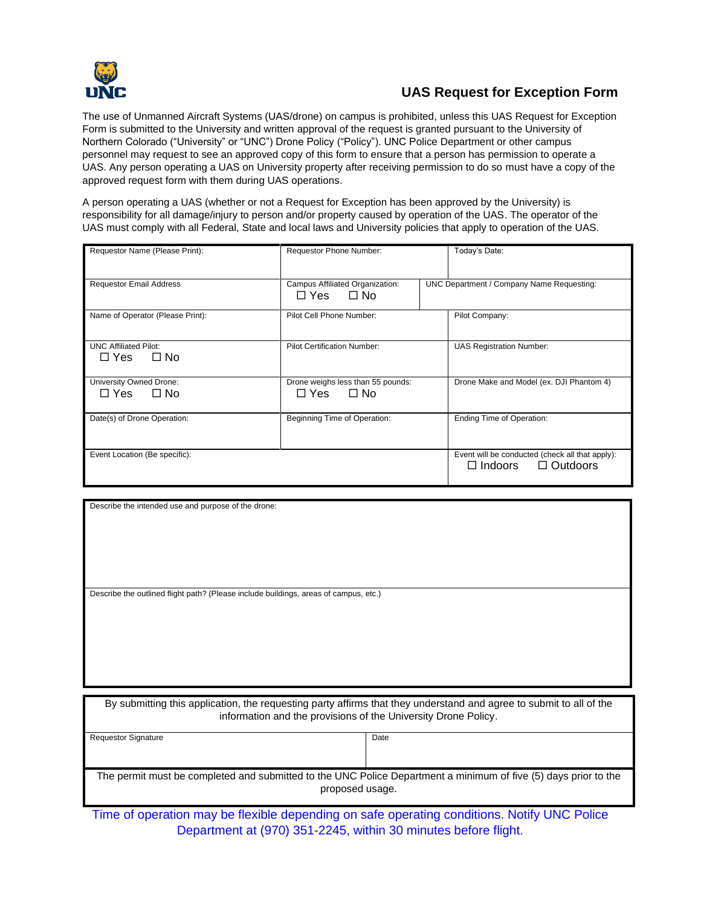

## **UAS Request for Exception Form**

The use of Unmanned Aircraft Systems (UAS/drone) on campus is prohibited, unless this UAS Request for Exception Form is submitted to the University and written approval of the request is granted pursuant to the University of Northern Colorado ("University" or "UNC") Drone Policy ("Policy"). UNC Police Department or other campus personnel may request to see an approved copy of this form to ensure that a person has permission to operate a UAS. Any person operating a UAS on University property after receiving permission to do so must have a copy of the approved request form with them during UAS operations.

A person operating a UAS (whether or not a Request for Exception has been approved by the University) is responsibility for all damage/injury to person and/or property caused by operation of the UAS. The operator of the UAS must comply with all Federal, State and local laws and University policies that apply to operation of the UAS.

| Requestor Name (Please Print):                          | Requestor Phone Number:                                      |  | Today's Date:                                                                           |  |
|---------------------------------------------------------|--------------------------------------------------------------|--|-----------------------------------------------------------------------------------------|--|
| <b>Requestor Email Address</b>                          | Campus Affiliated Organization:<br>□ Yes □ No                |  | UNC Department / Company Name Requesting:                                               |  |
| Name of Operator (Please Print):                        | Pilot Cell Phone Number:                                     |  | Pilot Company:                                                                          |  |
| <b>UNC Affiliated Pilot:</b><br>$\Box$ Yes<br>$\Box$ No | <b>Pilot Certification Number:</b>                           |  | <b>UAS Registration Number:</b>                                                         |  |
| University Owned Drone:<br>$\Box$ Yes $\Box$ No         | Drone weighs less than 55 pounds:<br>$\Box$ Yes<br>$\Box$ No |  | Drone Make and Model (ex. DJI Phantom 4)                                                |  |
| Date(s) of Drone Operation:                             | Beginning Time of Operation:                                 |  | Ending Time of Operation:                                                               |  |
| Event Location (Be specific):                           |                                                              |  | Event will be conducted (check all that apply):<br>$\Box$ Outdoors<br>$\square$ Indoors |  |

| Describe the intended use and purpose of the drone:                                  |  |
|--------------------------------------------------------------------------------------|--|
|                                                                                      |  |
|                                                                                      |  |
|                                                                                      |  |
|                                                                                      |  |
|                                                                                      |  |
|                                                                                      |  |
|                                                                                      |  |
|                                                                                      |  |
|                                                                                      |  |
|                                                                                      |  |
|                                                                                      |  |
| Describe the outlined flight path? (Please include buildings, areas of campus, etc.) |  |
|                                                                                      |  |
|                                                                                      |  |
|                                                                                      |  |
|                                                                                      |  |
|                                                                                      |  |
|                                                                                      |  |
|                                                                                      |  |
|                                                                                      |  |
|                                                                                      |  |
|                                                                                      |  |
|                                                                                      |  |

| By submitting this application, the requesting party affirms that they understand and agree to submit to all of the<br>information and the provisions of the University Drone Policy. |      |  |  |  |
|---------------------------------------------------------------------------------------------------------------------------------------------------------------------------------------|------|--|--|--|
| <b>Requestor Signature</b>                                                                                                                                                            | Date |  |  |  |
|                                                                                                                                                                                       |      |  |  |  |
|                                                                                                                                                                                       |      |  |  |  |
|                                                                                                                                                                                       |      |  |  |  |
| The permit must be completed and submitted to the UNC Police Department a minimum of five (5) days prior to the<br>proposed usage.                                                    |      |  |  |  |

Time of operation may be flexible depending on safe operating conditions. Notify UNC Police Department at (970) 351-2245, within 30 minutes before flight.